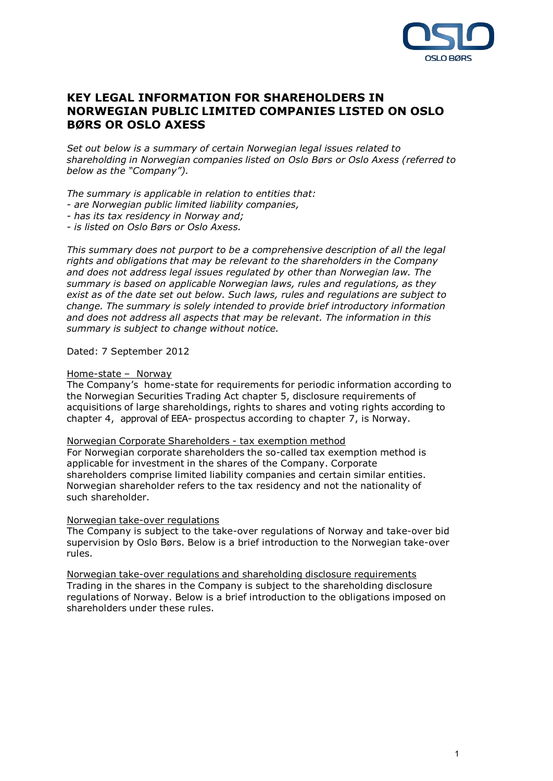

# **KEY LEGAL INFORMATION FOR SHAREHOLDERS IN NORWEGIAN PUBLIC LIMITED COMPANIES LISTED ON OSLO BØRS OR OSLO AXESS**

*Set out below is a summary of certain Norwegian legal issues related to shareholding in Norwegian companies listed on Oslo Børs or Oslo Axess (referred to below as the "Company").*

*The summary is applicable in relation to entities that:*

- *- are Norwegian public limited liability companies,*
- *- has its tax residency in Norway and;*

*- is listed on Oslo Børs or Oslo Axess.*

*This summary does not purport to be a comprehensive description of all the legal rights and obligations that may be relevant to the shareholders in the Company and does not address legal issues regulated by other than Norwegian law. The summary is based on applicable Norwegian laws, rules and regulations, as they exist as of the date set out below. Such laws, rules and regulations are subject to change. The summary is solely intended to provide brief introductory information and does not address all aspects that may be relevant. The information in this summary is subject to change without notice.*

#### Dated: 7 September 2012

#### Home-state – Norway

The Company's home-state for requirements for periodic information according to the Norwegian Securities Trading Act chapter 5, disclosure requirements of acquisitions of large shareholdings, rights to shares and voting rights according to chapter 4, approval of EEA- prospectus according to chapter 7, is Norway.

### Norwegian Corporate Shareholders - tax exemption method

For Norwegian corporate shareholders the so-called tax exemption method is applicable for investment in the shares of the Company. Corporate shareholders comprise limited liability companies and certain similar entities. Norwegian shareholder refers to the tax residency and not the nationality of such shareholder.

#### Norwegian take-over regulations

The Company is subject to the take-over regulations of Norway and take-over bid supervision by Oslo Børs. Below is a brief introduction to the Norwegian take-over rules.

Norwegian take-over regulations and shareholding disclosure requirements Trading in the shares in the Company is subject to the shareholding disclosure regulations of Norway. Below is a brief introduction to the obligations imposed on shareholders under these rules.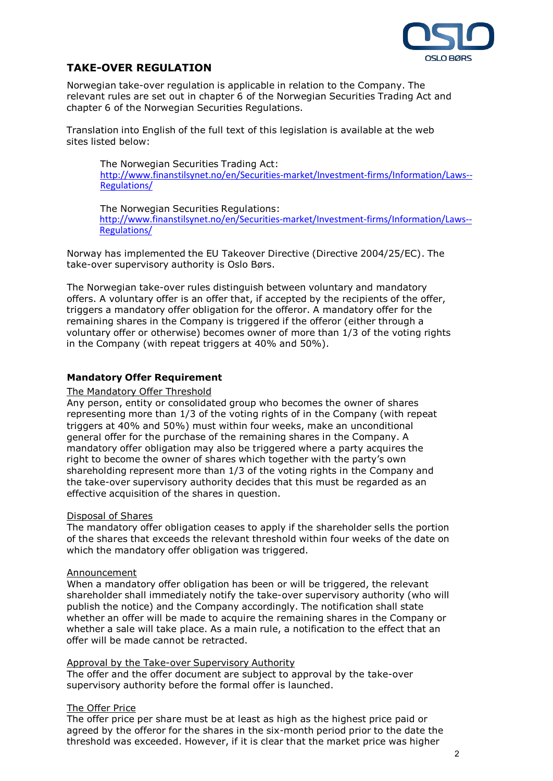

# **TAKE-OVER REGULATION**

Norwegian take-over regulation is applicable in relation to the Company. The relevant rules are set out in chapter 6 of the Norwegian Securities Trading Act and chapter 6 of the Norwegian Securities Regulations.

Translation into English of the full text of this legislation is available at the web sites listed below:

The Norwegian Securities Trading Act: http://www.finanstilsynet.no/en/Securities-market/Investment-firms/Information/Laws-- Regulations/

The Norwegian Securities Regulations: http://www.finanstilsynet.no/en/Securities-market/Investment-firms/Information/Laws-- Regulations/

Norway has implemented the EU Takeover Directive (Directive 2004/25/EC). The take-over supervisory authority is Oslo Børs.

The Norwegian take-over rules distinguish between voluntary and mandatory offers. A voluntary offer is an offer that, if accepted by the recipients of the offer, triggers a mandatory offer obligation for the offeror. A mandatory offer for the remaining shares in the Company is triggered if the offeror (either through a voluntary offer or otherwise) becomes owner of more than 1/3 of the voting rights in the Company (with repeat triggers at 40% and 50%).

# **Mandatory Offer Requirement**

### The Mandatory Offer Threshold

Any person, entity or consolidated group who becomes the owner of shares representing more than 1/3 of the voting rights of in the Company (with repeat triggers at 40% and 50%) must within four weeks, make an unconditional general offer for the purchase of the remaining shares in the Company. A mandatory offer obligation may also be triggered where a party acquires the right to become the owner of shares which together with the party's own shareholding represent more than 1/3 of the voting rights in the Company and the take-over supervisory authority decides that this must be regarded as an effective acquisition of the shares in question.

# Disposal of Shares

The mandatory offer obligation ceases to apply if the shareholder sells the portion of the shares that exceeds the relevant threshold within four weeks of the date on which the mandatory offer obligation was triggered.

#### Announcement

When a mandatory offer obligation has been or will be triggered, the relevant shareholder shall immediately notify the take-over supervisory authority (who will publish the notice) and the Company accordingly. The notification shall state whether an offer will be made to acquire the remaining shares in the Company or whether a sale will take place. As a main rule, a notification to the effect that an offer will be made cannot be retracted.

#### Approval by the Take-over Supervisory Authority

The offer and the offer document are subject to approval by the take-over supervisory authority before the formal offer is launched.

# The Offer Price

The offer price per share must be at least as high as the highest price paid or agreed by the offeror for the shares in the six-month period prior to the date the threshold was exceeded. However, if it is clear that the market price was higher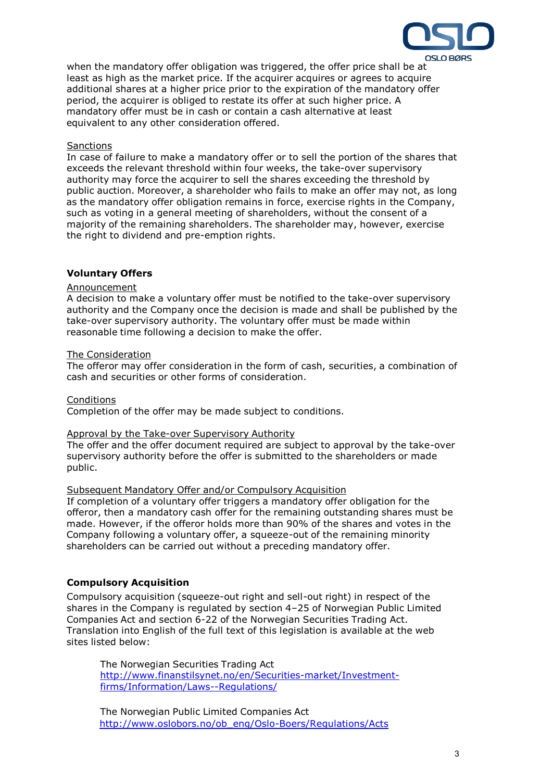

when the mandatory offer obligation was triggered, the offer price shall be at least as high as the market price. If the acquirer acquires or agrees to acquire additional shares at a higher price prior to the expiration of the mandatory offer period, the acquirer is obliged to restate its offer at such higher price. A mandatory offer must be in cash or contain a cash alternative at least equivalent to any other consideration offered.

### **Sanctions**

In case of failure to make a mandatory offer or to sell the portion of the shares that exceeds the relevant threshold within four weeks, the take-over supervisory authority may force the acquirer to sell the shares exceeding the threshold by public auction. Moreover, a shareholder who fails to make an offer may not, as long as the mandatory offer obligation remains in force, exercise rights in the Company, such as voting in a general meeting of shareholders, without the consent of a majority of the remaining shareholders. The shareholder may, however, exercise the right to dividend and pre-emption rights.

# **Voluntary Offers**

#### Announcement

A decision to make a voluntary offer must be notified to the take-over supervisory authority and the Company once the decision is made and shall be published by the take-over supervisory authority. The voluntary offer must be made within reasonable time following a decision to make the offer.

#### The Consideration

The offeror may offer consideration in the form of cash, securities, a combination of cash and securities or other forms of consideration.

#### **Conditions**

Completion of the offer may be made subject to conditions.

#### Approval by the Take-over Supervisory Authority

The offer and the offer document required are subject to approval by the take-over supervisory authority before the offer is submitted to the shareholders or made public.

# Subsequent Mandatory Offer and/or Compulsory Acquisition

If completion of a voluntary offer triggers a mandatory offer obligation for the offeror, then a mandatory cash offer for the remaining outstanding shares must be made. However, if the offeror holds more than 90% of the shares and votes in the Company following a voluntary offer, a squeeze-out of the remaining minority shareholders can be carried out without a preceding mandatory offer.

# **Compulsory Acquisition**

Compulsory acquisition (squeeze-out right and sell-out right) in respect of the shares in the Company is regulated by section 4–25 of Norwegian Public Limited Companies Act and section 6-22 of the Norwegian Securities Trading Act. Translation into English of the full text of this legislation is available at the web sites listed below:

The Norwegian Securities Trading Act http://www.finanstilsynet.no/en/Securities-market/Investmentfirms/Information/Laws--Regulations/

The Norwegian Public Limited Companies Act http://www.oslobors.no/ob\_eng/Oslo-Boers/Regulations/Acts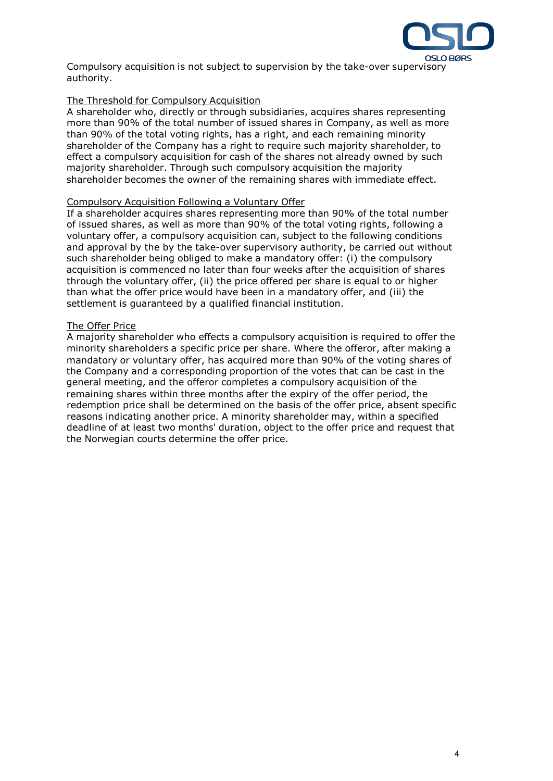

Compulsory acquisition is not subject to supervision by the take-over supervisory authority.

# The Threshold for Compulsory Acquisition

A shareholder who, directly or through subsidiaries, acquires shares representing more than 90% of the total number of issued shares in Company, as well as more than 90% of the total voting rights, has a right, and each remaining minority shareholder of the Company has a right to require such majority shareholder, to effect a compulsory acquisition for cash of the shares not already owned by such majority shareholder. Through such compulsory acquisition the majority shareholder becomes the owner of the remaining shares with immediate effect.

# Compulsory Acquisition Following a Voluntary Offer

If a shareholder acquires shares representing more than 90% of the total number of issued shares, as well as more than 90% of the total voting rights, following a voluntary offer, a compulsory acquisition can, subject to the following conditions and approval by the by the take-over supervisory authority, be carried out without such shareholder being obliged to make a mandatory offer: (i) the compulsory acquisition is commenced no later than four weeks after the acquisition of shares through the voluntary offer, (ii) the price offered per share is equal to or higher than what the offer price would have been in a mandatory offer, and (iii) the settlement is guaranteed by a qualified financial institution.

# The Offer Price

A majority shareholder who effects a compulsory acquisition is required to offer the minority shareholders a specific price per share. Where the offeror, after making a mandatory or voluntary offer, has acquired more than 90% of the voting shares of the Company and a corresponding proportion of the votes that can be cast in the general meeting, and the offeror completes a compulsory acquisition of the remaining shares within three months after the expiry of the offer period, the redemption price shall be determined on the basis of the offer price, absent specific reasons indicating another price. A minority shareholder may, within a specified deadline of at least two months' duration, object to the offer price and request that the Norwegian courts determine the offer price.